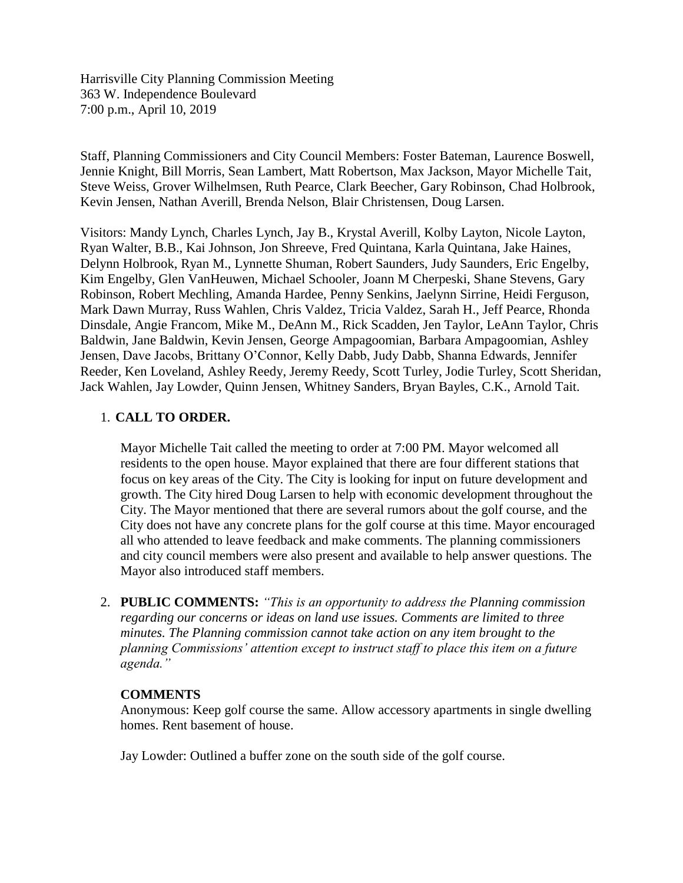Harrisville City Planning Commission Meeting 363 W. Independence Boulevard 7:00 p.m., April 10, 2019

Staff, Planning Commissioners and City Council Members: Foster Bateman, Laurence Boswell, Jennie Knight, Bill Morris, Sean Lambert, Matt Robertson, Max Jackson, Mayor Michelle Tait, Steve Weiss, Grover Wilhelmsen, Ruth Pearce, Clark Beecher, Gary Robinson, Chad Holbrook, Kevin Jensen, Nathan Averill, Brenda Nelson, Blair Christensen, Doug Larsen.

Visitors: Mandy Lynch, Charles Lynch, Jay B., Krystal Averill, Kolby Layton, Nicole Layton, Ryan Walter, B.B., Kai Johnson, Jon Shreeve, Fred Quintana, Karla Quintana, Jake Haines, Delynn Holbrook, Ryan M., Lynnette Shuman, Robert Saunders, Judy Saunders, Eric Engelby, Kim Engelby, Glen VanHeuwen, Michael Schooler, Joann M Cherpeski, Shane Stevens, Gary Robinson, Robert Mechling, Amanda Hardee, Penny Senkins, Jaelynn Sirrine, Heidi Ferguson, Mark Dawn Murray, Russ Wahlen, Chris Valdez, Tricia Valdez, Sarah H., Jeff Pearce, Rhonda Dinsdale, Angie Francom, Mike M., DeAnn M., Rick Scadden, Jen Taylor, LeAnn Taylor, Chris Baldwin, Jane Baldwin, Kevin Jensen, George Ampagoomian, Barbara Ampagoomian, Ashley Jensen, Dave Jacobs, Brittany O'Connor, Kelly Dabb, Judy Dabb, Shanna Edwards, Jennifer Reeder, Ken Loveland, Ashley Reedy, Jeremy Reedy, Scott Turley, Jodie Turley, Scott Sheridan, Jack Wahlen, Jay Lowder, Quinn Jensen, Whitney Sanders, Bryan Bayles, C.K., Arnold Tait.

## 1. **CALL TO ORDER.**

Mayor Michelle Tait called the meeting to order at 7:00 PM. Mayor welcomed all residents to the open house. Mayor explained that there are four different stations that focus on key areas of the City. The City is looking for input on future development and growth. The City hired Doug Larsen to help with economic development throughout the City. The Mayor mentioned that there are several rumors about the golf course, and the City does not have any concrete plans for the golf course at this time. Mayor encouraged all who attended to leave feedback and make comments. The planning commissioners and city council members were also present and available to help answer questions. The Mayor also introduced staff members.

2. **PUBLIC COMMENTS:** *"This is an opportunity to address the Planning commission regarding our concerns or ideas on land use issues. Comments are limited to three minutes. The Planning commission cannot take action on any item brought to the planning Commissions' attention except to instruct staff to place this item on a future agenda."*

## **COMMENTS**

Anonymous: Keep golf course the same. Allow accessory apartments in single dwelling homes. Rent basement of house.

Jay Lowder: Outlined a buffer zone on the south side of the golf course.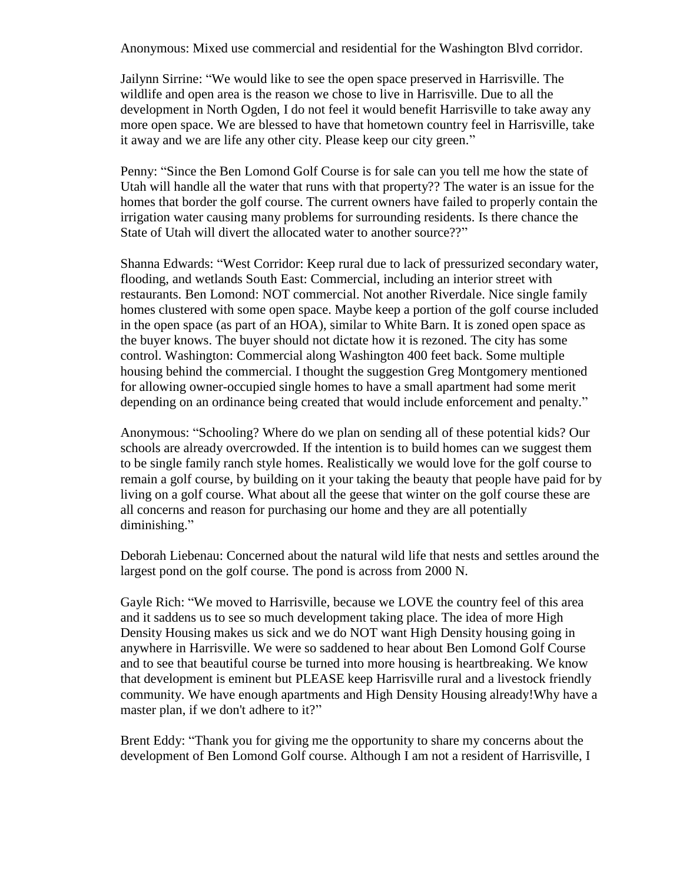Anonymous: Mixed use commercial and residential for the Washington Blvd corridor.

Jailynn Sirrine: "We would like to see the open space preserved in Harrisville. The wildlife and open area is the reason we chose to live in Harrisville. Due to all the development in North Ogden, I do not feel it would benefit Harrisville to take away any more open space. We are blessed to have that hometown country feel in Harrisville, take it away and we are life any other city. Please keep our city green."

Penny: "Since the Ben Lomond Golf Course is for sale can you tell me how the state of Utah will handle all the water that runs with that property?? The water is an issue for the homes that border the golf course. The current owners have failed to properly contain the irrigation water causing many problems for surrounding residents. Is there chance the State of Utah will divert the allocated water to another source??"

Shanna Edwards: "West Corridor: Keep rural due to lack of pressurized secondary water, flooding, and wetlands South East: Commercial, including an interior street with restaurants. Ben Lomond: NOT commercial. Not another Riverdale. Nice single family homes clustered with some open space. Maybe keep a portion of the golf course included in the open space (as part of an HOA), similar to White Barn. It is zoned open space as the buyer knows. The buyer should not dictate how it is rezoned. The city has some control. Washington: Commercial along Washington 400 feet back. Some multiple housing behind the commercial. I thought the suggestion Greg Montgomery mentioned for allowing owner-occupied single homes to have a small apartment had some merit depending on an ordinance being created that would include enforcement and penalty."

Anonymous: "Schooling? Where do we plan on sending all of these potential kids? Our schools are already overcrowded. If the intention is to build homes can we suggest them to be single family ranch style homes. Realistically we would love for the golf course to remain a golf course, by building on it your taking the beauty that people have paid for by living on a golf course. What about all the geese that winter on the golf course these are all concerns and reason for purchasing our home and they are all potentially diminishing."

Deborah Liebenau: Concerned about the natural wild life that nests and settles around the largest pond on the golf course. The pond is across from 2000 N.

Gayle Rich: "We moved to Harrisville, because we LOVE the country feel of this area and it saddens us to see so much development taking place. The idea of more High Density Housing makes us sick and we do NOT want High Density housing going in anywhere in Harrisville. We were so saddened to hear about Ben Lomond Golf Course and to see that beautiful course be turned into more housing is heartbreaking. We know that development is eminent but PLEASE keep Harrisville rural and a livestock friendly community. We have enough apartments and High Density Housing already!Why have a master plan, if we don't adhere to it?"

Brent Eddy: "Thank you for giving me the opportunity to share my concerns about the development of Ben Lomond Golf course. Although I am not a resident of Harrisville, I